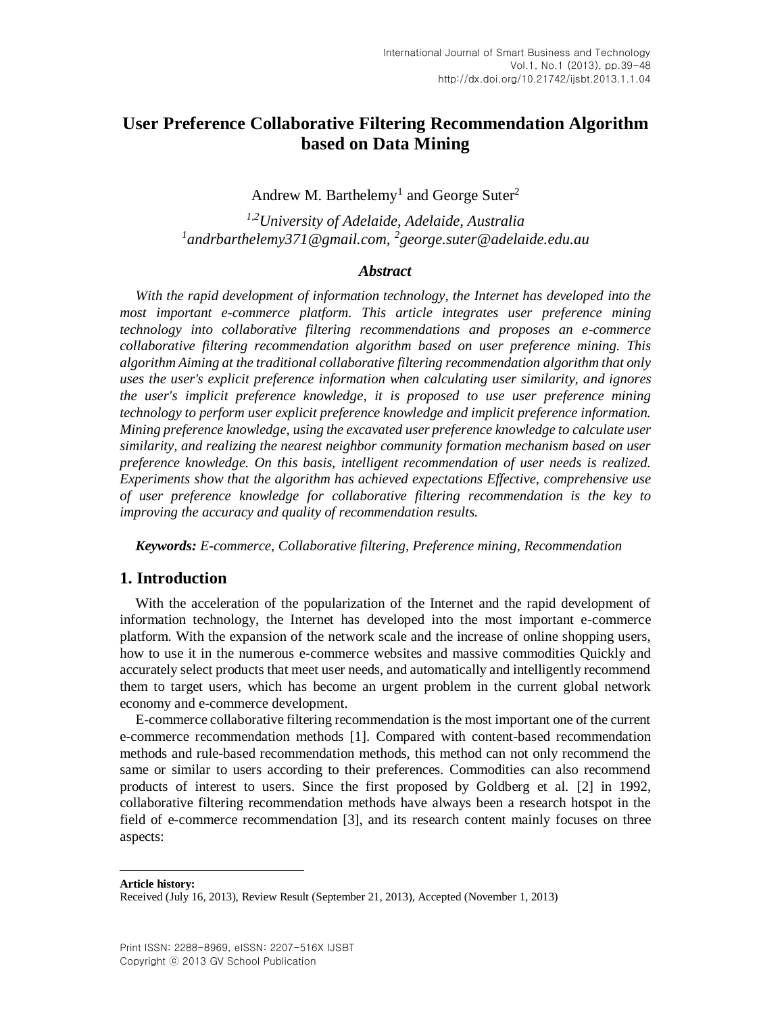# **User Preference Collaborative Filtering Recommendation Algorithm based on Data Mining**

Andrew M. Barthelemy<sup>1</sup> and George Suter<sup>2</sup>

*1,2University of Adelaide, Adelaide, Australia 1 andrbarthelemy371@gmail.com, <sup>2</sup> george.suter@adelaide.edu.au*

### *Abstract*

*With the rapid development of information technology, the Internet has developed into the most important e-commerce platform. This article integrates user preference mining technology into collaborative filtering recommendations and proposes an e-commerce collaborative filtering recommendation algorithm based on user preference mining. This algorithm Aiming at the traditional collaborative filtering recommendation algorithm that only uses the user's explicit preference information when calculating user similarity, and ignores the user's implicit preference knowledge, it is proposed to use user preference mining technology to perform user explicit preference knowledge and implicit preference information. Mining preference knowledge, using the excavated user preference knowledge to calculate user similarity, and realizing the nearest neighbor community formation mechanism based on user preference knowledge. On this basis, intelligent recommendation of user needs is realized. Experiments show that the algorithm has achieved expectations Effective, comprehensive use of user preference knowledge for collaborative filtering recommendation is the key to improving the accuracy and quality of recommendation results.*

*Keywords: E-commerce, Collaborative filtering, Preference mining, Recommendation*

# **1. Introduction**

With the acceleration of the popularization of the Internet and the rapid development of information technology, the Internet has developed into the most important e-commerce platform. With the expansion of the network scale and the increase of online shopping users, how to use it in the numerous e-commerce websites and massive commodities Quickly and accurately select products that meet user needs, and automatically and intelligently recommend them to target users, which has become an urgent problem in the current global network economy and e-commerce development.

E-commerce collaborative filtering recommendation is the most important one of the current e-commerce recommendation methods [\[1\].](#page-8-0) Compared with content-based recommendation methods and rule-based recommendation methods, this method can not only recommend the same or similar to users according to their preferences. Commodities can also recommend products of interest to users. Since the first proposed by Goldberg et al. [\[2\]](#page-8-1) in 1992, collaborative filtering recommendation methods have always been a research hotspot in the field of e-commerce recommendation [\[3\],](#page-8-2) and its research content mainly focuses on three aspects:

**Article history:**

 $\overline{a}$ 

Received (July 16, 2013), Review Result (September 21, 2013), Accepted (November 1, 2013)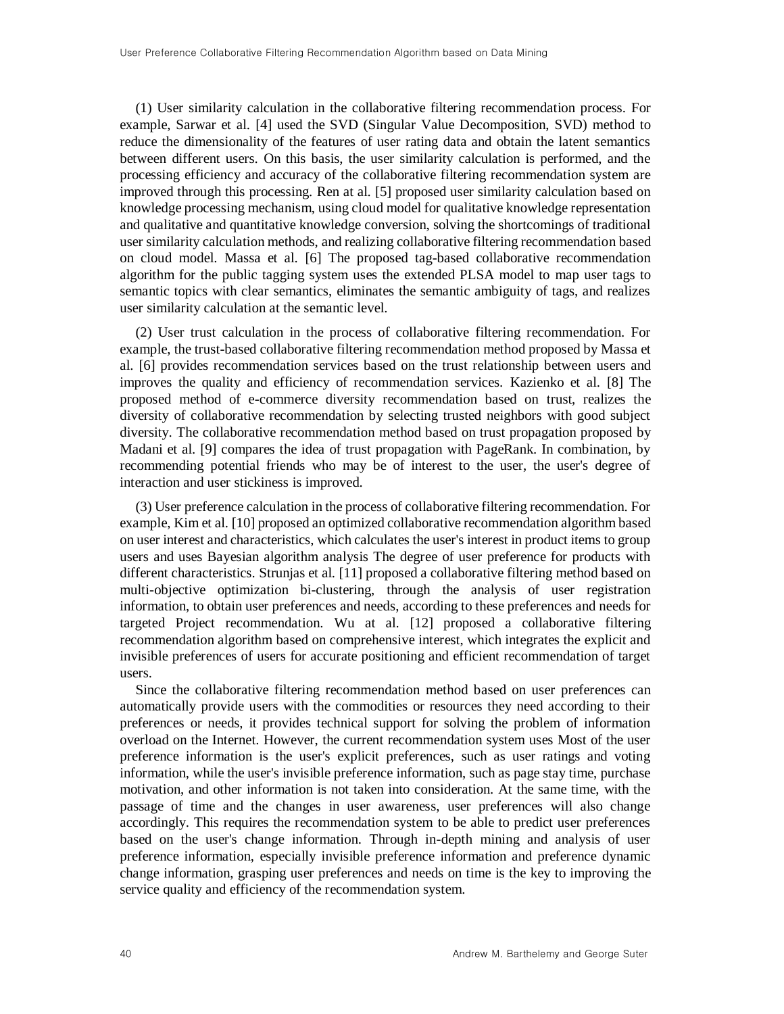(1) User similarity calculation in the collaborative filtering recommendation process. For example, Sarwar et al. [\[4\]](#page-8-3) used the SVD (Singular Value Decomposition, SVD) method to reduce the dimensionality of the features of user rating data and obtain the latent semantics between different users. On this basis, the user similarity calculation is performed, and the processing efficiency and accuracy of the collaborative filtering recommendation system are improved through this processing. Ren at al. [\[5\]](#page-8-4) proposed user similarity calculation based on knowledge processing mechanism, using cloud model for qualitative knowledge representation and qualitative and quantitative knowledge conversion, solving the shortcomings of traditional user similarity calculation methods, and realizing collaborative filtering recommendation based on cloud model. Massa et al. [\[6\]](#page-8-5) The proposed tag-based collaborative recommendation algorithm for the public tagging system uses the extended PLSA model to map user tags to semantic topics with clear semantics, eliminates the semantic ambiguity of tags, and realizes user similarity calculation at the semantic level.

(2) User trust calculation in the process of collaborative filtering recommendation. For example, the trust-based collaborative filtering recommendation method proposed by Massa et al. [\[6\]](#page-8-5) provides recommendation services based on the trust relationship between users and improves the quality and efficiency of recommendation services. Kazienko et al. [\[8\]](#page-8-6) The proposed method of e-commerce diversity recommendation based on trust, realizes the diversity of collaborative recommendation by selecting trusted neighbors with good subject diversity. The collaborative recommendation method based on trust propagation proposed by Madani et al. [\[9\]](#page-8-7) compares the idea of trust propagation with PageRank. In combination, by recommending potential friends who may be of interest to the user, the user's degree of interaction and user stickiness is improved.

(3) User preference calculation in the process of collaborative filtering recommendation. For example, Kim et al. [\[10\]](#page-9-0) proposed an optimized collaborative recommendation algorithm based on user interest and characteristics, which calculates the user's interest in product items to group users and uses Bayesian algorithm analysis The degree of user preference for products with different characteristics. Strunjas et al. [\[11\]](#page-9-1) proposed a collaborative filtering method based on multi-objective optimization bi-clustering, through the analysis of user registration information, to obtain user preferences and needs, according to these preferences and needs for targeted Project recommendation. Wu at al. [\[12\]](#page-9-2) proposed a collaborative filtering recommendation algorithm based on comprehensive interest, which integrates the explicit and invisible preferences of users for accurate positioning and efficient recommendation of target users.

Since the collaborative filtering recommendation method based on user preferences can automatically provide users with the commodities or resources they need according to their preferences or needs, it provides technical support for solving the problem of information overload on the Internet. However, the current recommendation system uses Most of the user preference information is the user's explicit preferences, such as user ratings and voting information, while the user's invisible preference information, such as page stay time, purchase motivation, and other information is not taken into consideration. At the same time, with the passage of time and the changes in user awareness, user preferences will also change accordingly. This requires the recommendation system to be able to predict user preferences based on the user's change information. Through in-depth mining and analysis of user preference information, especially invisible preference information and preference dynamic change information, grasping user preferences and needs on time is the key to improving the service quality and efficiency of the recommendation system.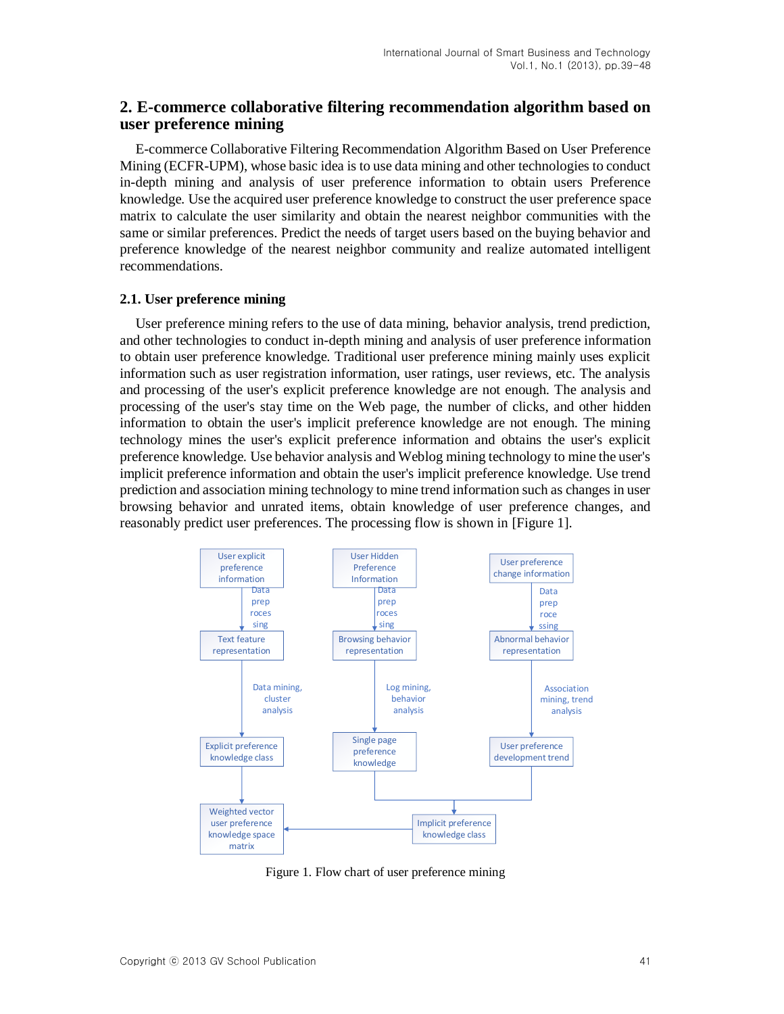# **2. E-commerce collaborative filtering recommendation algorithm based on user preference mining**

E-commerce Collaborative Filtering Recommendation Algorithm Based on User Preference Mining (ECFR-UPM), whose basic idea is to use data mining and other technologies to conduct in-depth mining and analysis of user preference information to obtain users Preference knowledge. Use the acquired user preference knowledge to construct the user preference space matrix to calculate the user similarity and obtain the nearest neighbor communities with the same or similar preferences. Predict the needs of target users based on the buying behavior and preference knowledge of the nearest neighbor community and realize automated intelligent recommendations.

### **2.1. User preference mining**

User preference mining refers to the use of data mining, behavior analysis, trend prediction, and other technologies to conduct in-depth mining and analysis of user preference information to obtain user preference knowledge. Traditional user preference mining mainly uses explicit information such as user registration information, user ratings, user reviews, etc. The analysis and processing of the user's explicit preference knowledge are not enough. The analysis and processing of the user's stay time on the Web page, the number of clicks, and other hidden information to obtain the user's implicit preference knowledge are not enough. The mining technology mines the user's explicit preference information and obtains the user's explicit preference knowledge. Use behavior analysis and Weblog mining technology to mine the user's implicit preference information and obtain the user's implicit preference knowledge. Use trend prediction and association mining technology to mine trend information such as changes in user browsing behavior and unrated items, obtain knowledge of user preference changes, and reasonably predict user preferences. The processing flow is shown in [Figure 1].



Figure 1. Flow chart of user preference mining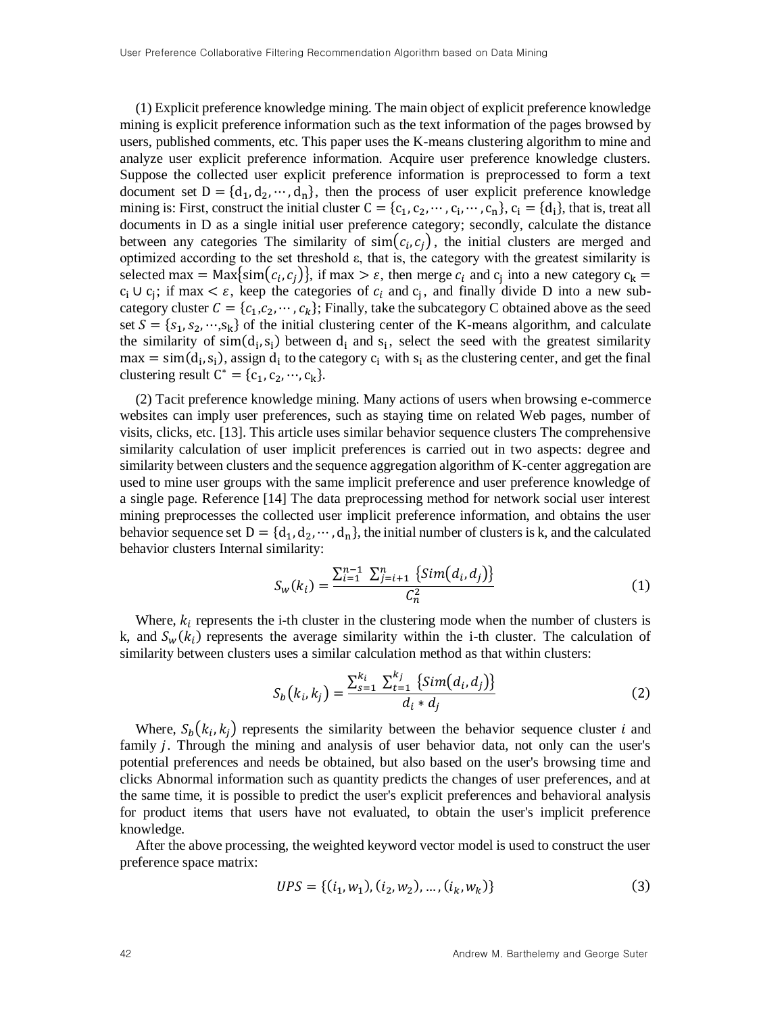(1) Explicit preference knowledge mining. The main object of explicit preference knowledge mining is explicit preference information such as the text information of the pages browsed by users, published comments, etc. This paper uses the K-means clustering algorithm to mine and analyze user explicit preference information. Acquire user preference knowledge clusters. Suppose the collected user explicit preference information is preprocessed to form a text document set  $D = \{d_1, d_2, \dots, d_n\}$ , then the process of user explicit preference knowledge mining is: First, construct the initial cluster  $C = \{c_1, c_2, \dots, c_i, \dots, c_n\}$ ,  $c_i = \{d_i\}$ , that is, treat all documents in D as a single initial user preference category; secondly, calculate the distance between any categories The similarity of  $\text{sim}(c_i, c_j)$ , the initial clusters are merged and optimized according to the set threshold ε, that is, the category with the greatest similarity is selected max = Max{ $\text{sim}(c_i, c_j)$ }, if max >  $\varepsilon$ , then merge  $c_i$  and  $c_j$  into a new category  $c_k$  =  $c_i \cup c_j$ ; if max <  $\varepsilon$ , keep the categories of  $c_i$  and  $c_j$ , and finally divide D into a new subcategory cluster  $C = \{c_1, c_2, \dots, c_k\}$ ; Finally, take the subcategory C obtained above as the seed set  $S = \{s_1, s_2, \dots, s_k\}$  of the initial clustering center of the K-means algorithm, and calculate the similarity of  $sim(d_i, s_i)$  between  $d_i$  and  $s_i$ , select the seed with the greatest similarity  $max = sim(d<sub>i</sub>, s<sub>i</sub>)$ , assign  $d<sub>i</sub>$  to the category  $c<sub>i</sub>$  with  $s<sub>i</sub>$  as the clustering center, and get the final clustering result  $C^* = \{c_1, c_2, \dots, c_k\}.$ 

(2) Tacit preference knowledge mining. Many actions of users when browsing e-commerce websites can imply user preferences, such as staying time on related Web pages, number of visits, clicks, etc. [13]. This article uses similar behavior sequence clusters The comprehensive similarity calculation of user implicit preferences is carried out in two aspects: degree and similarity between clusters and the sequence aggregation algorithm of K-center aggregation are used to mine user groups with the same implicit preference and user preference knowledge of a single page. Reference [14] The data preprocessing method for network social user interest mining preprocesses the collected user implicit preference information, and obtains the user behavior sequence set  $D = \{d_1, d_2, \dots, d_n\}$ , the initial number of clusters is k, and the calculated behavior clusters Internal similarity:

$$
S_w(k_i) = \frac{\sum_{i=1}^{n-1} \sum_{j=i+1}^{n} {\{Sim(d_i, d_j) \} } }{C_n^2}
$$
 (1)

Where,  $k_i$  represents the i-th cluster in the clustering mode when the number of clusters is k, and  $S_w(k_i)$  represents the average similarity within the i-th cluster. The calculation of similarity between clusters uses a similar calculation method as that within clusters:

$$
S_b(k_i, k_j) = \frac{\sum_{s=1}^{k_i} \sum_{t=1}^{k_j} {\{sim(d_i, d_j)\}}}{d_i * d_j}
$$
 (2)

Where,  $S_b(k_i, k_j)$  represents the similarity between the behavior sequence cluster i and family *j*. Through the mining and analysis of user behavior data, not only can the user's potential preferences and needs be obtained, but also based on the user's browsing time and clicks Abnormal information such as quantity predicts the changes of user preferences, and at the same time, it is possible to predict the user's explicit preferences and behavioral analysis for product items that users have not evaluated, to obtain the user's implicit preference knowledge.

After the above processing, the weighted keyword vector model is used to construct the user preference space matrix:

$$
UPS = \{ (i_1, w_1), (i_2, w_2), \dots, (i_k, w_k) \}
$$
\n(3)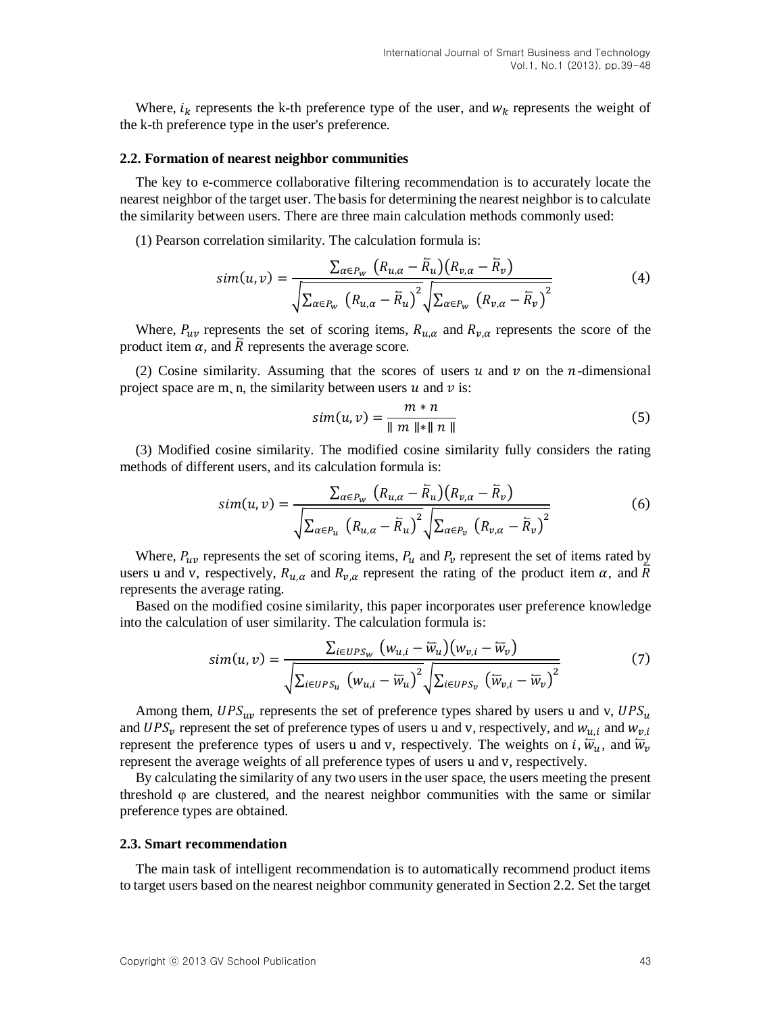Where,  $i_k$  represents the k-th preference type of the user, and  $w_k$  represents the weight of the k-th preference type in the user's preference.

#### **2.2. Formation of nearest neighbor communities**

The key to e-commerce collaborative filtering recommendation is to accurately locate the nearest neighbor of the target user. The basis for determining the nearest neighbor is to calculate the similarity between users. There are three main calculation methods commonly used:

(1) Pearson correlation similarity. The calculation formula is:

$$
sim(u,v) = \frac{\sum_{\alpha \in P_W} (R_{u,\alpha} - \overline{R}_u)(R_{v,\alpha} - \overline{R}_v)}{\sqrt{\sum_{\alpha \in P_W} (R_{u,\alpha} - \overline{R}_u)^2} \sqrt{\sum_{\alpha \in P_W} (R_{v,\alpha} - \overline{R}_v)^2}}
$$
(4)

Where,  $P_{uv}$  represents the set of scoring items,  $R_{u,\alpha}$  and  $R_{v,\alpha}$  represents the score of the product item  $\alpha$ , and  $\overline{R}$  represents the average score.

(2) Cosine similarity. Assuming that the scores of users  $u$  and  $v$  on the *n*-dimensional project space are m, n, the similarity between users  $u$  and  $v$  is:

$$
sim(u, v) = \frac{m * n}{\| m \| * \| n \|}
$$
 (5)

(3) Modified cosine similarity. The modified cosine similarity fully considers the rating methods of different users, and its calculation formula is:

$$
sim(u,v) = \frac{\sum_{\alpha \in P_W} (R_{u,\alpha} - \overline{R}_u)(R_{v,\alpha} - \overline{R}_v)}{\sqrt{\sum_{\alpha \in P_u} (R_{u,\alpha} - \overline{R}_u)^2} \sqrt{\sum_{\alpha \in P_v} (R_{v,\alpha} - \overline{R}_v)^2}}
$$
(6)

Where,  $P_{uv}$  represents the set of scoring items,  $P_u$  and  $P_v$  represent the set of items rated by users u and v, respectively,  $R_{u,\alpha}$  and  $R_{v,\alpha}$  represent the rating of the product item  $\alpha$ , and  $\overline{R}$ represents the average rating.

Based on the modified cosine similarity, this paper incorporates user preference knowledge into the calculation of user similarity. The calculation formula is:

$$
sim(u,v) = \frac{\sum_{i \in UPS_W} (w_{u,i} - \overline{w}_u)(w_{v,i} - \overline{w}_v)}{\sqrt{\sum_{i \in UPS_u} (w_{u,i} - \overline{w}_u)^2} \sqrt{\sum_{i \in UPS_v} (\overline{w}_{v,i} - \overline{w}_v)^2}}
$$
(7)

Among them,  $UPS_{uv}$  represents the set of preference types shared by users u and v,  $UPS_u$ and UPS<sub>v</sub> represent the set of preference types of users u and v, respectively, and  $w_{u,i}$  and  $w_{v,i}$ represent the preference types of users u and v, respectively. The weights on i,  $\overline{w}_u$ , and  $\overline{w}_v$ represent the average weights of all preference types of users u and v, respectively.

By calculating the similarity of any two users in the user space, the users meeting the present threshold  $\varphi$  are clustered, and the nearest neighbor communities with the same or similar preference types are obtained.

#### **2.3. Smart recommendation**

The main task of intelligent recommendation is to automatically recommend product items to target users based on the nearest neighbor community generated in Section 2.2. Set the target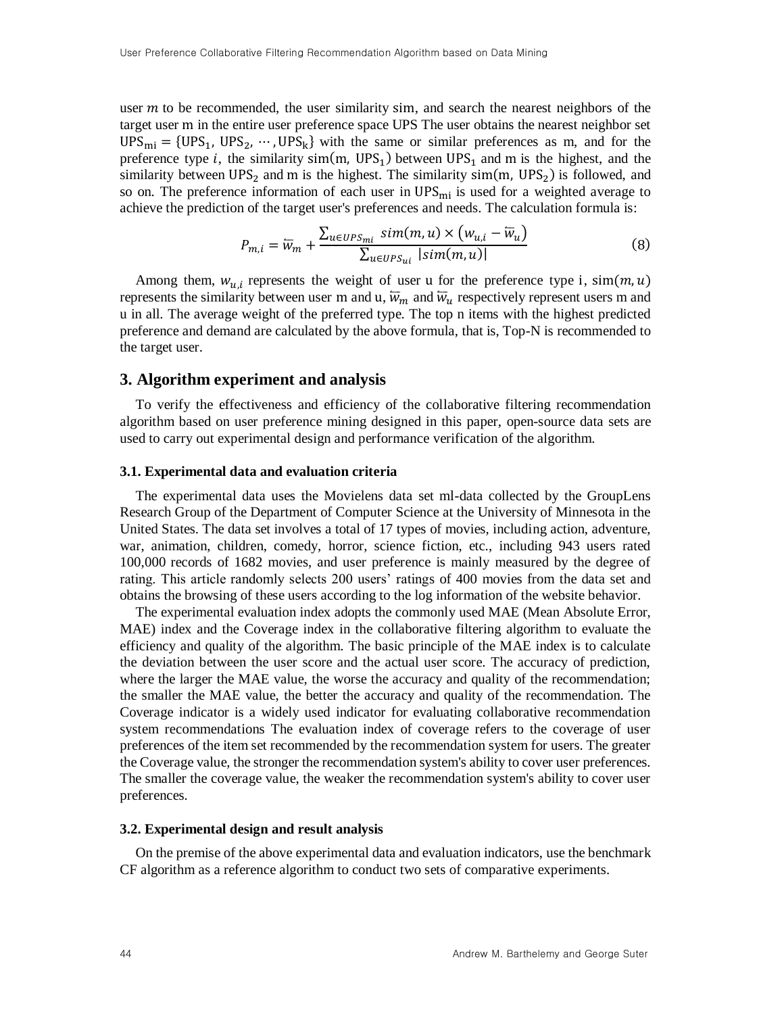user  $m$  to be recommended, the user similarity sim, and search the nearest neighbors of the target user m in the entire user preference space UPS The user obtains the nearest neighbor set  $UPS_{mi} = \{UPS_1, \, UPS_2, \, \cdots, \, UPS_k\}$  with the same or similar preferences as m, and for the preference type *i*, the similarity  $sim(m, UPS_1)$  between  $UPS_1$  and m is the highest, and the similarity between  $UPS_2$  and m is the highest. The similarity  $sim(m, UPS_2)$  is followed, and so on. The preference information of each user in  $UPS<sub>mi</sub>$  is used for a weighted average to achieve the prediction of the target user's preferences and needs. The calculation formula is:

$$
P_{m,i} = \overline{w}_m + \frac{\sum_{u \in UPS_{mi}} sim(m, u) \times (w_{u,i} - \overline{w}_u)}{\sum_{u \in UPS_{ui}} |sim(m, u)|}
$$
(8)

Among them,  $w_{u,i}$  represents the weight of user u for the preference type i,  $sim(m, u)$ represents the similarity between user m and u,  $\overline{w}_m$  and  $\overline{w}_u$  respectively represent users m and u in all. The average weight of the preferred type. The top n items with the highest predicted preference and demand are calculated by the above formula, that is, Top-N is recommended to the target user.

# **3. Algorithm experiment and analysis**

To verify the effectiveness and efficiency of the collaborative filtering recommendation algorithm based on user preference mining designed in this paper, open-source data sets are used to carry out experimental design and performance verification of the algorithm.

#### **3.1. Experimental data and evaluation criteria**

The experimental data uses the Movielens data set ml-data collected by the GroupLens Research Group of the Department of Computer Science at the University of Minnesota in the United States. The data set involves a total of 17 types of movies, including action, adventure, war, animation, children, comedy, horror, science fiction, etc., including 943 users rated 100,000 records of 1682 movies, and user preference is mainly measured by the degree of rating. This article randomly selects 200 users' ratings of 400 movies from the data set and obtains the browsing of these users according to the log information of the website behavior.

The experimental evaluation index adopts the commonly used MAE (Mean Absolute Error, MAE) index and the Coverage index in the collaborative filtering algorithm to evaluate the efficiency and quality of the algorithm. The basic principle of the MAE index is to calculate the deviation between the user score and the actual user score. The accuracy of prediction, where the larger the MAE value, the worse the accuracy and quality of the recommendation; the smaller the MAE value, the better the accuracy and quality of the recommendation. The Coverage indicator is a widely used indicator for evaluating collaborative recommendation system recommendations The evaluation index of coverage refers to the coverage of user preferences of the item set recommended by the recommendation system for users. The greater the Coverage value, the stronger the recommendation system's ability to cover user preferences. The smaller the coverage value, the weaker the recommendation system's ability to cover user preferences.

#### **3.2. Experimental design and result analysis**

On the premise of the above experimental data and evaluation indicators, use the benchmark CF algorithm as a reference algorithm to conduct two sets of comparative experiments.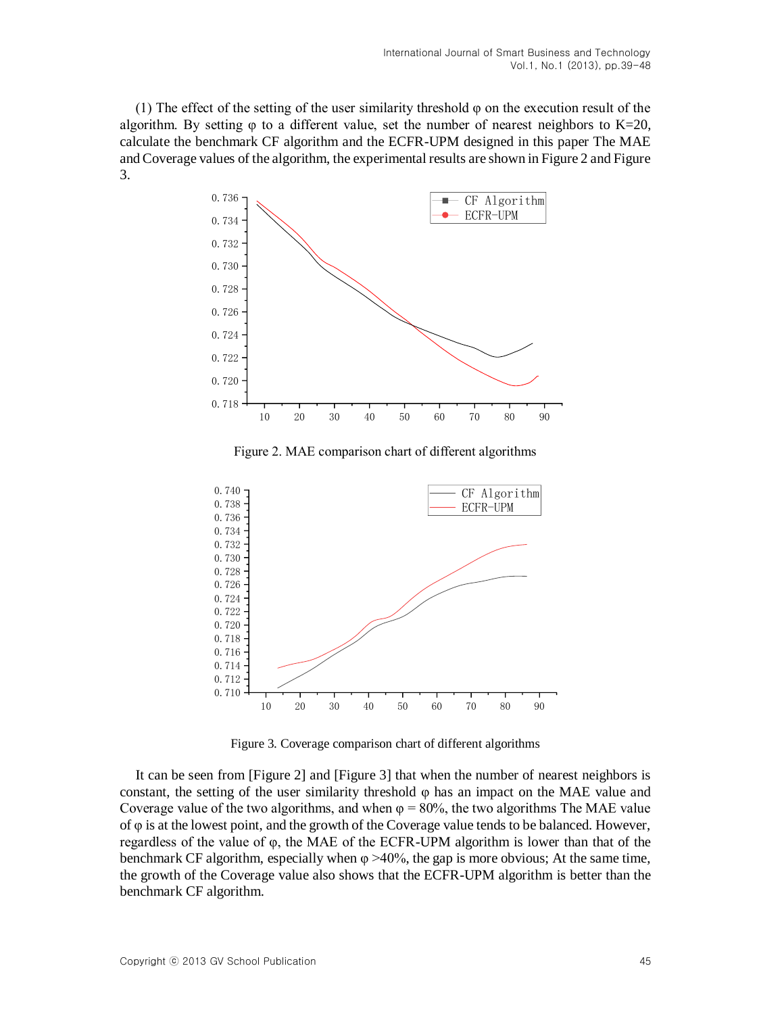(1) The effect of the setting of the user similarity threshold φ on the execution result of the algorithm. By setting  $\varphi$  to a different value, set the number of nearest neighbors to K=20, calculate the benchmark CF algorithm and the ECFR-UPM designed in this paper The MAE and Coverage values of the algorithm, the experimental results are shown in Figure 2 and Figure 3.



Figure 2. MAE comparison chart of different algorithms



Figure 3. Coverage comparison chart of different algorithms

It can be seen from [Figure 2] and [Figure 3] that when the number of nearest neighbors is constant, the setting of the user similarity threshold  $\varphi$  has an impact on the MAE value and Coverage value of the two algorithms, and when  $\varphi = 80\%$ , the two algorithms The MAE value of φ is at the lowest point, and the growth of the Coverage value tends to be balanced. However, regardless of the value of φ, the MAE of the ECFR-UPM algorithm is lower than that of the benchmark CF algorithm, especially when  $\varphi > 40\%$ , the gap is more obvious; At the same time, the growth of the Coverage value also shows that the ECFR-UPM algorithm is better than the benchmark CF algorithm.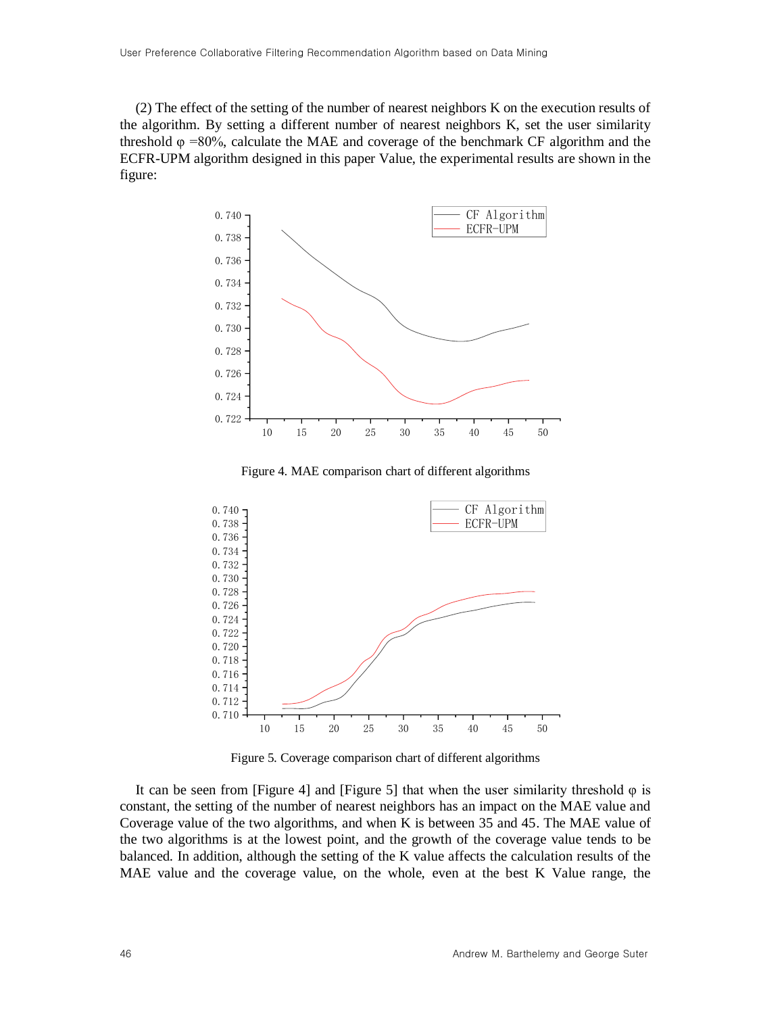(2) The effect of the setting of the number of nearest neighbors K on the execution results of the algorithm. By setting a different number of nearest neighbors K, set the user similarity threshold  $\varphi$  =80%, calculate the MAE and coverage of the benchmark CF algorithm and the ECFR-UPM algorithm designed in this paper Value, the experimental results are shown in the figure:



Figure 4. MAE comparison chart of different algorithms



Figure 5. Coverage comparison chart of different algorithms

It can be seen from [Figure 4] and [Figure 5] that when the user similarity threshold  $\varphi$  is constant, the setting of the number of nearest neighbors has an impact on the MAE value and Coverage value of the two algorithms, and when K is between 35 and 45. The MAE value of the two algorithms is at the lowest point, and the growth of the coverage value tends to be balanced. In addition, although the setting of the K value affects the calculation results of the MAE value and the coverage value, on the whole, even at the best K Value range, the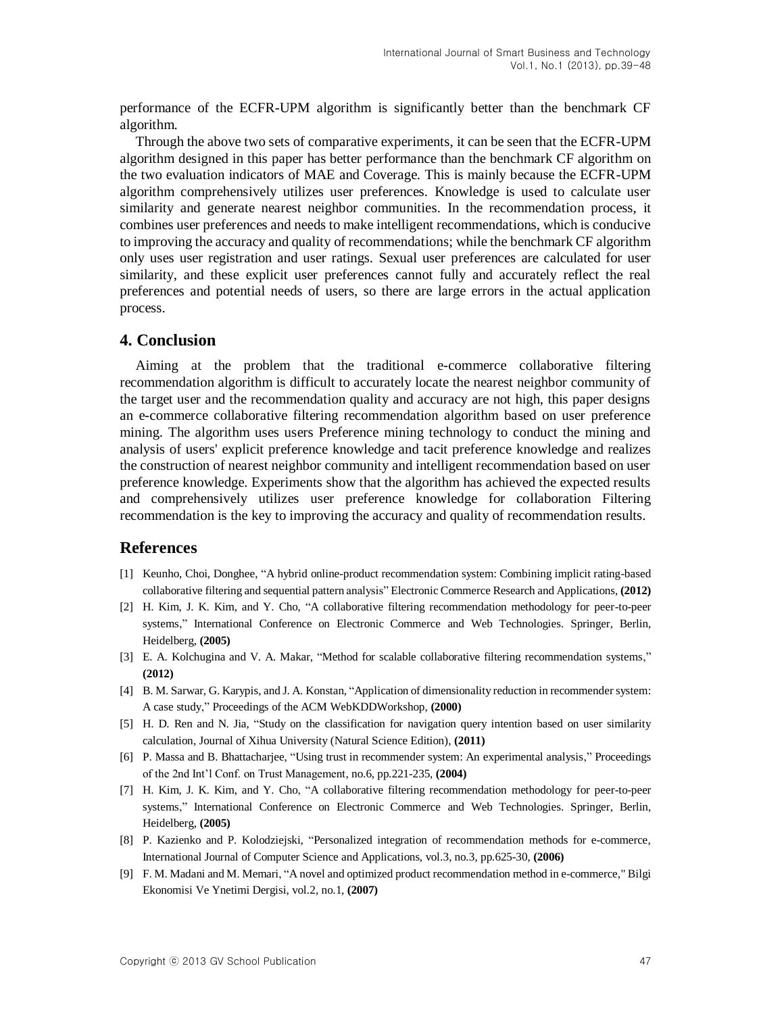performance of the ECFR-UPM algorithm is significantly better than the benchmark CF algorithm.

Through the above two sets of comparative experiments, it can be seen that the ECFR-UPM algorithm designed in this paper has better performance than the benchmark CF algorithm on the two evaluation indicators of MAE and Coverage. This is mainly because the ECFR-UPM algorithm comprehensively utilizes user preferences. Knowledge is used to calculate user similarity and generate nearest neighbor communities. In the recommendation process, it combines user preferences and needs to make intelligent recommendations, which is conducive to improving the accuracy and quality of recommendations; while the benchmark CF algorithm only uses user registration and user ratings. Sexual user preferences are calculated for user similarity, and these explicit user preferences cannot fully and accurately reflect the real preferences and potential needs of users, so there are large errors in the actual application process.

# **4. Conclusion**

Aiming at the problem that the traditional e-commerce collaborative filtering recommendation algorithm is difficult to accurately locate the nearest neighbor community of the target user and the recommendation quality and accuracy are not high, this paper designs an e-commerce collaborative filtering recommendation algorithm based on user preference mining. The algorithm uses users Preference mining technology to conduct the mining and analysis of users' explicit preference knowledge and tacit preference knowledge and realizes the construction of nearest neighbor community and intelligent recommendation based on user preference knowledge. Experiments show that the algorithm has achieved the expected results and comprehensively utilizes user preference knowledge for collaboration Filtering recommendation is the key to improving the accuracy and quality of recommendation results.

## **References**

- <span id="page-8-0"></span>[1] Keunho, Choi, Donghee, "A hybrid online-product recommendation system: Combining implicit rating-based collaborative filtering and sequential pattern analysis" Electronic Commerce Research and Applications, **(2012)**
- <span id="page-8-1"></span>[2] H. Kim, J. K. Kim, and Y. Cho, "A collaborative filtering recommendation methodology for peer-to-peer systems," International Conference on Electronic Commerce and Web Technologies. Springer, Berlin, Heidelberg, **(2005)**
- <span id="page-8-2"></span>[3] E. A. Kolchugina and V. A. Makar, "Method for scalable collaborative filtering recommendation systems," **(2012)**
- <span id="page-8-3"></span>[4] B. M. Sarwar, G. Karypis, and J. A. Konstan, "Application of dimensionality reduction in recommender system: A case study," Proceedings of the ACM WebKDDWorkshop, **(2000)**
- <span id="page-8-4"></span>[5] H. D. Ren and N. Jia, "Study on the classification for navigation query intention based on user similarity calculation, Journal of Xihua University (Natural Science Edition), **(2011)**
- <span id="page-8-5"></span>[6] P. Massa and B. Bhattacharjee, "Using trust in recommender system: An experimental analysis," Proceedings of the 2nd Int'l Conf. on Trust Management, no.6, pp.221-235, **(2004)**
- [7] H. Kim, J. K. Kim, and Y. Cho, "A collaborative filtering recommendation methodology for peer-to-peer systems," International Conference on Electronic Commerce and Web Technologies. Springer, Berlin, Heidelberg, **(2005)**
- <span id="page-8-6"></span>[8] P. Kazienko and P. Kolodziejski, "Personalized integration of recommendation methods for e-commerce, International Journal of Computer Science and Applications, vol.3, no.3, pp.625-30, **(2006)**
- <span id="page-8-7"></span>[9] F. M. Madani and M. Memari, "A novel and optimized product recommendation method in e-commerce," Bilgi Ekonomisi Ve Ynetimi Dergisi, vol.2, no.1, **(2007)**